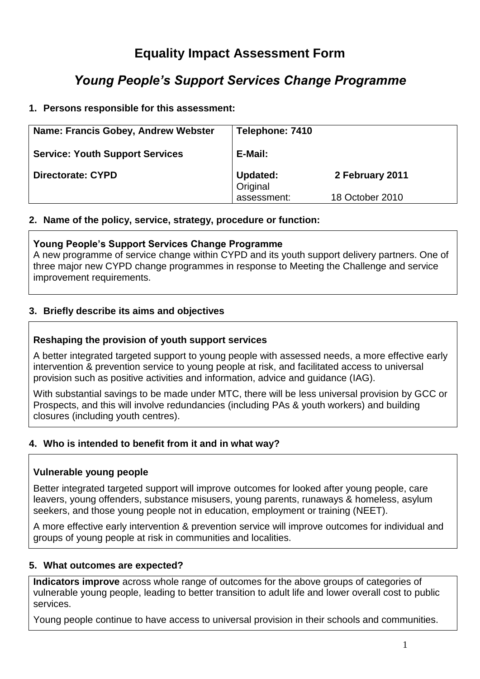# **Equality Impact Assessment Form**

# *Young People's Support Services Change Programme*

# **1. Persons responsible for this assessment:**

| Name: Francis Gobey, Andrew Webster    | Telephone: 7410             |                 |
|----------------------------------------|-----------------------------|-----------------|
| <b>Service: Youth Support Services</b> | E-Mail:                     |                 |
| <b>Directorate: CYPD</b>               | <b>Updated:</b><br>Original | 2 February 2011 |
|                                        | assessment:                 | 18 October 2010 |

#### **2. Name of the policy, service, strategy, procedure or function:**

#### **Young People's Support Services Change Programme**

A new programme of service change within CYPD and its youth support delivery partners. One of three major new CYPD change programmes in response to Meeting the Challenge and service improvement requirements.

# **3. Briefly describe its aims and objectives**

## **Reshaping the provision of youth support services**

A better integrated targeted support to young people with assessed needs, a more effective early intervention & prevention service to young people at risk, and facilitated access to universal provision such as positive activities and information, advice and guidance (IAG).

With substantial savings to be made under MTC, there will be less universal provision by GCC or Prospects, and this will involve redundancies (including PAs & youth workers) and building closures (including youth centres).

## **4. Who is intended to benefit from it and in what way?**

#### **Vulnerable young people**

Better integrated targeted support will improve outcomes for looked after young people, care leavers, young offenders, substance misusers, young parents, runaways & homeless, asylum seekers, and those young people not in education, employment or training (NEET).

A more effective early intervention & prevention service will improve outcomes for individual and groups of young people at risk in communities and localities.

## **5. What outcomes are expected?**

**Indicators improve** across whole range of outcomes for the above groups of categories of vulnerable young people, leading to better transition to adult life and lower overall cost to public services.

Young people continue to have access to universal provision in their schools and communities.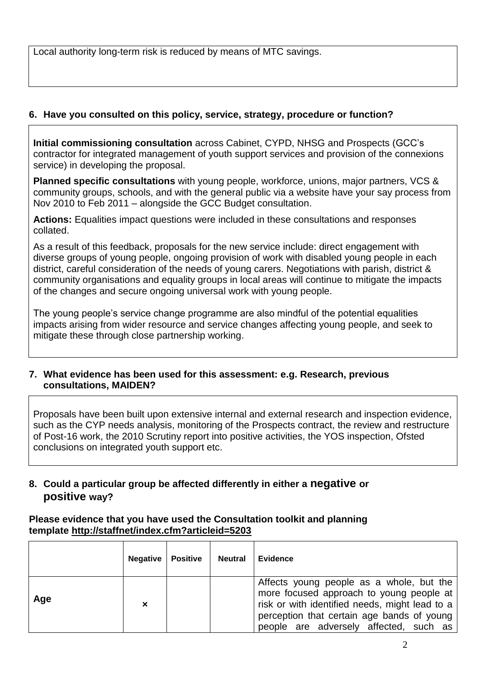Local authority long-term risk is reduced by means of MTC savings.

# **6. Have you consulted on this policy, service, strategy, procedure or function?**

**Initial commissioning consultation** across Cabinet, CYPD, NHSG and Prospects (GCC's contractor for integrated management of youth support services and provision of the connexions service) in developing the proposal.

**Planned specific consultations** with young people, workforce, unions, major partners, VCS & community groups, schools, and with the general public via a website have your say process from Nov 2010 to Feb 2011 – alongside the GCC Budget consultation.

**Actions:** Equalities impact questions were included in these consultations and responses collated.

As a result of this feedback, proposals for the new service include: direct engagement with diverse groups of young people, ongoing provision of work with disabled young people in each district, careful consideration of the needs of young carers. Negotiations with parish, district & community organisations and equality groups in local areas will continue to mitigate the impacts of the changes and secure ongoing universal work with young people.

The young people's service change programme are also mindful of the potential equalities impacts arising from wider resource and service changes affecting young people, and seek to mitigate these through close partnership working.

## **7. What evidence has been used for this assessment: e.g. Research, previous consultations, MAIDEN?**

Proposals have been built upon extensive internal and external research and inspection evidence, such as the CYP needs analysis, monitoring of the Prospects contract, the review and restructure of Post-16 work, the 2010 Scrutiny report into positive activities, the YOS inspection, Ofsted conclusions on integrated youth support etc.

# **8. Could a particular group be affected differently in either a negative or positive way?**

#### **Please evidence that you have used the Consultation toolkit and planning template<http://staffnet/index.cfm?articleid=5203>**

|     | Negative | <b>Positive</b> | <b>Neutral</b> | <b>Evidence</b>                                                                                                                                                                                                                  |
|-----|----------|-----------------|----------------|----------------------------------------------------------------------------------------------------------------------------------------------------------------------------------------------------------------------------------|
| Age | ×        |                 |                | Affects young people as a whole, but the<br>more focused approach to young people at  <br>risk or with identified needs, might lead to a<br>perception that certain age bands of young<br>people are adversely affected, such as |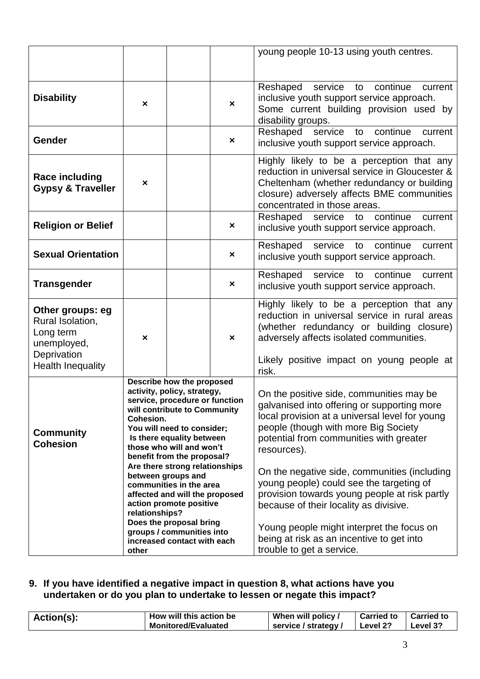|                                                                                 |                                                                                                                                                                                                                                                                                                                                                                                                                                                           |  |                           | young people 10-13 using youth centres.                                                                                                                                                                                                                                                                                                                                                                                                                                         |  |  |
|---------------------------------------------------------------------------------|-----------------------------------------------------------------------------------------------------------------------------------------------------------------------------------------------------------------------------------------------------------------------------------------------------------------------------------------------------------------------------------------------------------------------------------------------------------|--|---------------------------|---------------------------------------------------------------------------------------------------------------------------------------------------------------------------------------------------------------------------------------------------------------------------------------------------------------------------------------------------------------------------------------------------------------------------------------------------------------------------------|--|--|
|                                                                                 |                                                                                                                                                                                                                                                                                                                                                                                                                                                           |  |                           |                                                                                                                                                                                                                                                                                                                                                                                                                                                                                 |  |  |
| <b>Disability</b>                                                               | ×                                                                                                                                                                                                                                                                                                                                                                                                                                                         |  | $\boldsymbol{\mathsf{x}}$ | Reshaped service to continue<br>current<br>inclusive youth support service approach.<br>Some current building provision used by<br>disability groups.                                                                                                                                                                                                                                                                                                                           |  |  |
| Gender                                                                          |                                                                                                                                                                                                                                                                                                                                                                                                                                                           |  | $\boldsymbol{\mathsf{x}}$ | Reshaped service to continue<br>current<br>inclusive youth support service approach.                                                                                                                                                                                                                                                                                                                                                                                            |  |  |
| <b>Race including</b><br><b>Gypsy &amp; Traveller</b>                           | ×                                                                                                                                                                                                                                                                                                                                                                                                                                                         |  |                           | Highly likely to be a perception that any<br>reduction in universal service in Gloucester &<br>Cheltenham (whether redundancy or building<br>closure) adversely affects BME communities<br>concentrated in those areas.                                                                                                                                                                                                                                                         |  |  |
| <b>Religion or Belief</b>                                                       |                                                                                                                                                                                                                                                                                                                                                                                                                                                           |  | ×                         | Reshaped service to continue<br>current<br>inclusive youth support service approach.                                                                                                                                                                                                                                                                                                                                                                                            |  |  |
| <b>Sexual Orientation</b>                                                       |                                                                                                                                                                                                                                                                                                                                                                                                                                                           |  | ×                         | Reshaped service to continue<br>current<br>inclusive youth support service approach.                                                                                                                                                                                                                                                                                                                                                                                            |  |  |
| <b>Transgender</b>                                                              |                                                                                                                                                                                                                                                                                                                                                                                                                                                           |  | ×                         | Reshaped service to continue<br>current<br>inclusive youth support service approach.                                                                                                                                                                                                                                                                                                                                                                                            |  |  |
| Other groups: eg<br>Rural Isolation,<br>Long term<br>unemployed,<br>Deprivation | ×                                                                                                                                                                                                                                                                                                                                                                                                                                                         |  | $\boldsymbol{\mathsf{x}}$ | Highly likely to be a perception that any<br>reduction in universal service in rural areas<br>(whether redundancy or building closure)<br>adversely affects isolated communities.                                                                                                                                                                                                                                                                                               |  |  |
| <b>Health Inequality</b>                                                        |                                                                                                                                                                                                                                                                                                                                                                                                                                                           |  |                           | Likely positive impact on young people at<br>risk.                                                                                                                                                                                                                                                                                                                                                                                                                              |  |  |
| <b>Community</b><br><b>Cohesion</b>                                             | Describe how the proposed<br>activity, policy, strategy,<br>service, procedure or function<br>will contribute to Community<br>Cohesion.<br>You will need to consider;<br>Is there equality between<br>those who will and won't<br>benefit from the proposal?<br>Are there strong relationships<br>between groups and<br>communities in the area<br>affected and will the proposed<br>action promote positive<br>relationships?<br>Does the proposal bring |  |                           | On the positive side, communities may be<br>galvanised into offering or supporting more<br>local provision at a universal level for young<br>people (though with more Big Society<br>potential from communities with greater<br>resources).<br>On the negative side, communities (including<br>young people) could see the targeting of<br>provision towards young people at risk partly<br>because of their locality as divisive.<br>Young people might interpret the focus on |  |  |
|                                                                                 | groups / communities into<br>increased contact with each<br>other                                                                                                                                                                                                                                                                                                                                                                                         |  |                           | being at risk as an incentive to get into<br>trouble to get a service.                                                                                                                                                                                                                                                                                                                                                                                                          |  |  |

#### **9. If you have identified a negative impact in question 8, what actions have you undertaken or do you plan to undertake to lessen or negate this impact?**

| Action(s): | How will this action be    | When will policy /   | Carried to   Carried to |          |
|------------|----------------------------|----------------------|-------------------------|----------|
|            | <b>Monitored/Evaluated</b> | service / strategy / | $\vert$ Level 2?        | Level 3? |